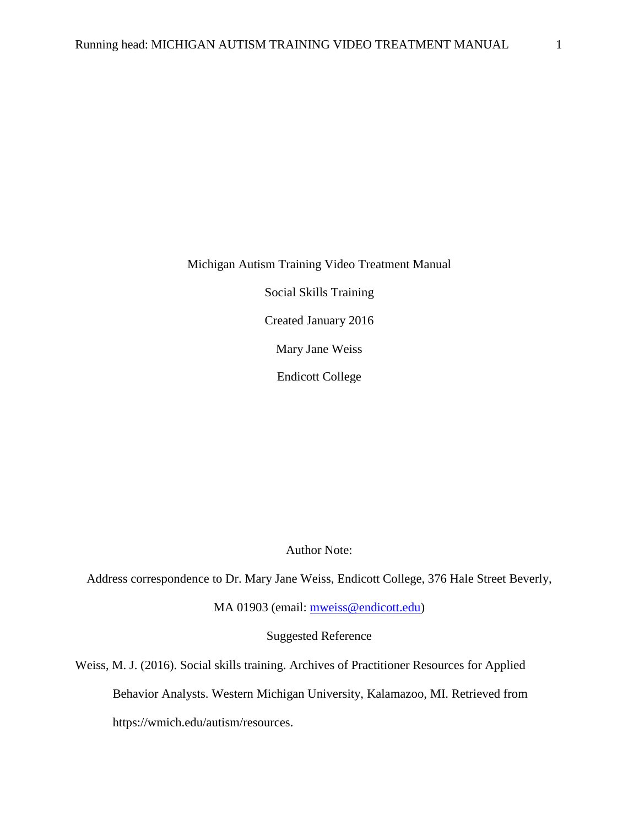Michigan Autism Training Video Treatment Manual

Social Skills Training

Created January 2016

Mary Jane Weiss

Endicott College

Author Note:

Address correspondence to Dr. Mary Jane Weiss, Endicott College, 376 Hale Street Beverly,

MA 01903 (email: [mweiss@endicott.edu\)](mailto:mweiss@endicott.edu)

Suggested Reference

Weiss, M. J. (2016). Social skills training. Archives of Practitioner Resources for Applied

Behavior Analysts. Western Michigan University, Kalamazoo, MI. Retrieved from

https://wmich.edu/autism/resources.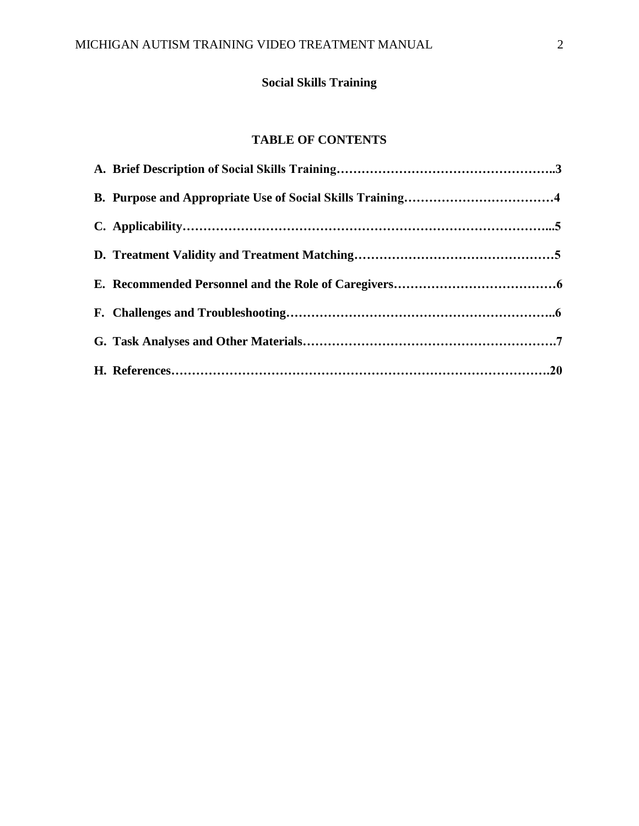# **Social Skills Training**

# **TABLE OF CONTENTS**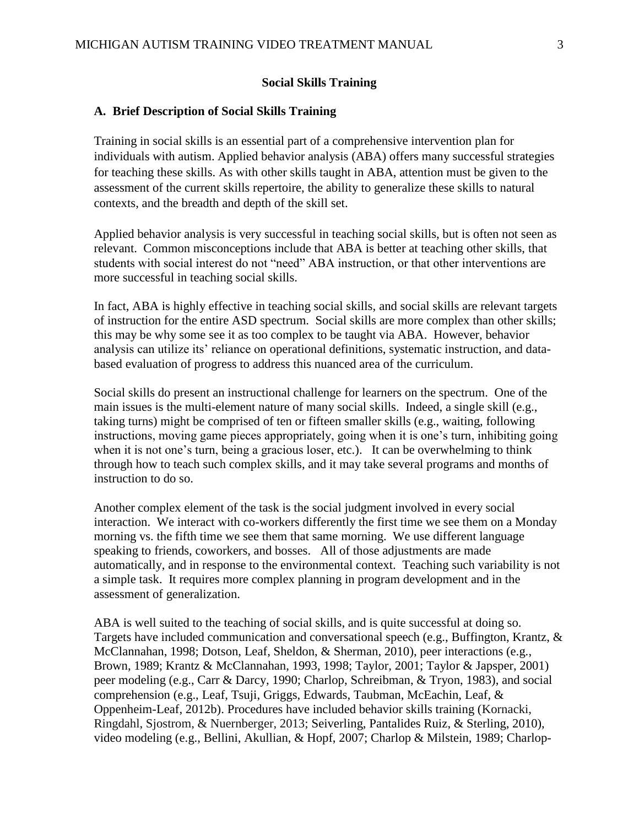#### **Social Skills Training**

#### **A. Brief Description of Social Skills Training**

Training in social skills is an essential part of a comprehensive intervention plan for individuals with autism. Applied behavior analysis (ABA) offers many successful strategies for teaching these skills. As with other skills taught in ABA, attention must be given to the assessment of the current skills repertoire, the ability to generalize these skills to natural contexts, and the breadth and depth of the skill set.

Applied behavior analysis is very successful in teaching social skills, but is often not seen as relevant. Common misconceptions include that ABA is better at teaching other skills, that students with social interest do not "need" ABA instruction, or that other interventions are more successful in teaching social skills.

In fact, ABA is highly effective in teaching social skills, and social skills are relevant targets of instruction for the entire ASD spectrum. Social skills are more complex than other skills; this may be why some see it as too complex to be taught via ABA. However, behavior analysis can utilize its' reliance on operational definitions, systematic instruction, and databased evaluation of progress to address this nuanced area of the curriculum.

Social skills do present an instructional challenge for learners on the spectrum. One of the main issues is the multi-element nature of many social skills. Indeed, a single skill (e.g., taking turns) might be comprised of ten or fifteen smaller skills (e.g., waiting, following instructions, moving game pieces appropriately, going when it is one's turn, inhibiting going when it is not one's turn, being a gracious loser, etc.). It can be overwhelming to think through how to teach such complex skills, and it may take several programs and months of instruction to do so.

Another complex element of the task is the social judgment involved in every social interaction. We interact with co-workers differently the first time we see them on a Monday morning vs. the fifth time we see them that same morning. We use different language speaking to friends, coworkers, and bosses. All of those adjustments are made automatically, and in response to the environmental context. Teaching such variability is not a simple task. It requires more complex planning in program development and in the assessment of generalization.

ABA is well suited to the teaching of social skills, and is quite successful at doing so. Targets have included communication and conversational speech (e.g., Buffington, Krantz, & McClannahan, 1998; Dotson, Leaf, Sheldon, & Sherman, 2010), peer interactions (e.g., Brown, 1989; Krantz & McClannahan, 1993, 1998; Taylor, 2001; Taylor & Japsper, 2001) peer modeling (e.g., Carr & Darcy, 1990; Charlop, Schreibman, & Tryon, 1983), and social comprehension (e.g., Leaf, Tsuji, Griggs, Edwards, Taubman, McEachin, Leaf, & Oppenheim-Leaf, 2012b). Procedures have included behavior skills training (Kornacki, Ringdahl, Sjostrom, & Nuernberger, 2013; Seiverling, Pantalides Ruiz, & Sterling, 2010), video modeling (e.g., Bellini, Akullian, & Hopf, 2007; Charlop & Milstein, 1989; Charlop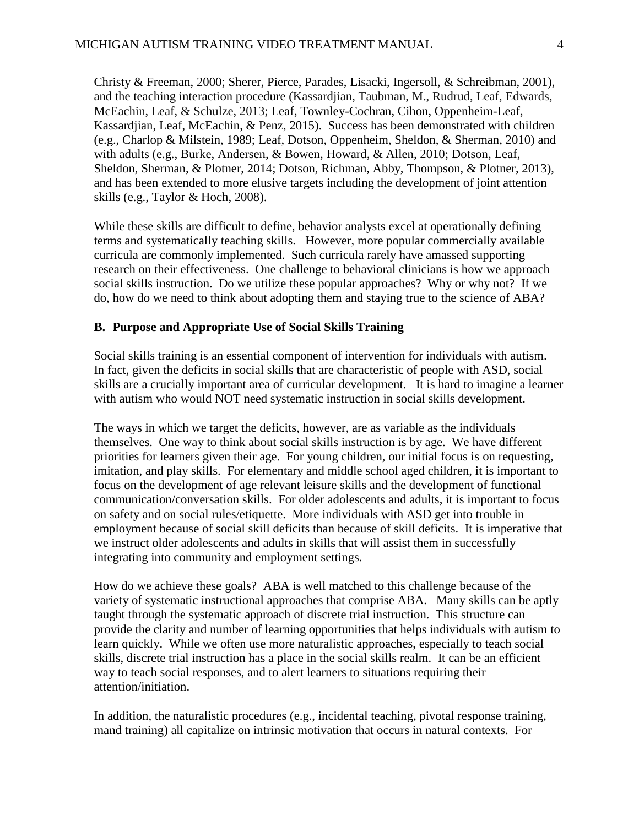Christy & Freeman, 2000; Sherer, Pierce, Parades, Lisacki, Ingersoll, & Schreibman, 2001), and the teaching interaction procedure (Kassardjian, Taubman, M., Rudrud, Leaf, Edwards, McEachin, Leaf, & Schulze, 2013; Leaf, Townley-Cochran, Cihon, Oppenheim-Leaf, Kassardjian, Leaf, McEachin, & Penz, 2015). Success has been demonstrated with children (e.g., Charlop & Milstein, 1989; Leaf, Dotson, Oppenheim, Sheldon, & Sherman, 2010) and with adults (e.g., Burke, Andersen, & Bowen, Howard, & Allen, 2010; Dotson, Leaf, Sheldon, Sherman, & Plotner, 2014; Dotson, Richman, Abby, Thompson, & Plotner, 2013), and has been extended to more elusive targets including the development of joint attention skills (e.g., Taylor & Hoch, 2008).

While these skills are difficult to define, behavior analysts excel at operationally defining terms and systematically teaching skills. However, more popular commercially available curricula are commonly implemented. Such curricula rarely have amassed supporting research on their effectiveness. One challenge to behavioral clinicians is how we approach social skills instruction. Do we utilize these popular approaches? Why or why not? If we do, how do we need to think about adopting them and staying true to the science of ABA?

#### **B. Purpose and Appropriate Use of Social Skills Training**

Social skills training is an essential component of intervention for individuals with autism. In fact, given the deficits in social skills that are characteristic of people with ASD, social skills are a crucially important area of curricular development. It is hard to imagine a learner with autism who would NOT need systematic instruction in social skills development.

The ways in which we target the deficits, however, are as variable as the individuals themselves. One way to think about social skills instruction is by age. We have different priorities for learners given their age. For young children, our initial focus is on requesting, imitation, and play skills. For elementary and middle school aged children, it is important to focus on the development of age relevant leisure skills and the development of functional communication/conversation skills. For older adolescents and adults, it is important to focus on safety and on social rules/etiquette. More individuals with ASD get into trouble in employment because of social skill deficits than because of skill deficits. It is imperative that we instruct older adolescents and adults in skills that will assist them in successfully integrating into community and employment settings.

How do we achieve these goals? ABA is well matched to this challenge because of the variety of systematic instructional approaches that comprise ABA. Many skills can be aptly taught through the systematic approach of discrete trial instruction. This structure can provide the clarity and number of learning opportunities that helps individuals with autism to learn quickly. While we often use more naturalistic approaches, especially to teach social skills, discrete trial instruction has a place in the social skills realm. It can be an efficient way to teach social responses, and to alert learners to situations requiring their attention/initiation.

In addition, the naturalistic procedures (e.g., incidental teaching, pivotal response training, mand training) all capitalize on intrinsic motivation that occurs in natural contexts. For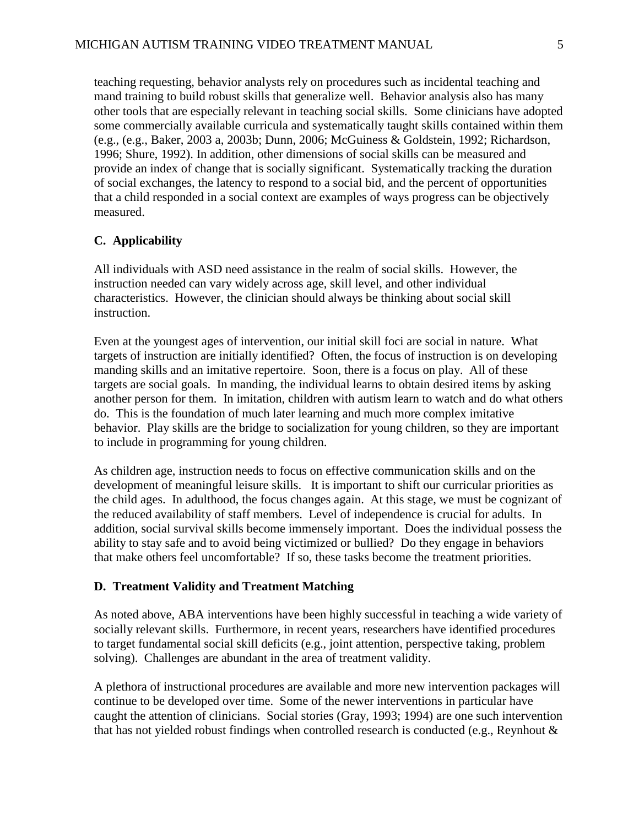teaching requesting, behavior analysts rely on procedures such as incidental teaching and mand training to build robust skills that generalize well. Behavior analysis also has many other tools that are especially relevant in teaching social skills. Some clinicians have adopted some commercially available curricula and systematically taught skills contained within them (e.g., (e.g., Baker, 2003 a, 2003b; Dunn, 2006; McGuiness & Goldstein, 1992; Richardson, 1996; Shure, 1992). In addition, other dimensions of social skills can be measured and provide an index of change that is socially significant. Systematically tracking the duration of social exchanges, the latency to respond to a social bid, and the percent of opportunities that a child responded in a social context are examples of ways progress can be objectively measured.

## **C. Applicability**

All individuals with ASD need assistance in the realm of social skills. However, the instruction needed can vary widely across age, skill level, and other individual characteristics. However, the clinician should always be thinking about social skill instruction.

Even at the youngest ages of intervention, our initial skill foci are social in nature. What targets of instruction are initially identified? Often, the focus of instruction is on developing manding skills and an imitative repertoire. Soon, there is a focus on play. All of these targets are social goals. In manding, the individual learns to obtain desired items by asking another person for them. In imitation, children with autism learn to watch and do what others do. This is the foundation of much later learning and much more complex imitative behavior. Play skills are the bridge to socialization for young children, so they are important to include in programming for young children.

As children age, instruction needs to focus on effective communication skills and on the development of meaningful leisure skills. It is important to shift our curricular priorities as the child ages. In adulthood, the focus changes again. At this stage, we must be cognizant of the reduced availability of staff members. Level of independence is crucial for adults. In addition, social survival skills become immensely important. Does the individual possess the ability to stay safe and to avoid being victimized or bullied? Do they engage in behaviors that make others feel uncomfortable? If so, these tasks become the treatment priorities.

## **D. Treatment Validity and Treatment Matching**

As noted above, ABA interventions have been highly successful in teaching a wide variety of socially relevant skills. Furthermore, in recent years, researchers have identified procedures to target fundamental social skill deficits (e.g., joint attention, perspective taking, problem solving). Challenges are abundant in the area of treatment validity.

A plethora of instructional procedures are available and more new intervention packages will continue to be developed over time. Some of the newer interventions in particular have caught the attention of clinicians. Social stories (Gray, 1993; 1994) are one such intervention that has not yielded robust findings when controlled research is conducted (e.g., Reynhout &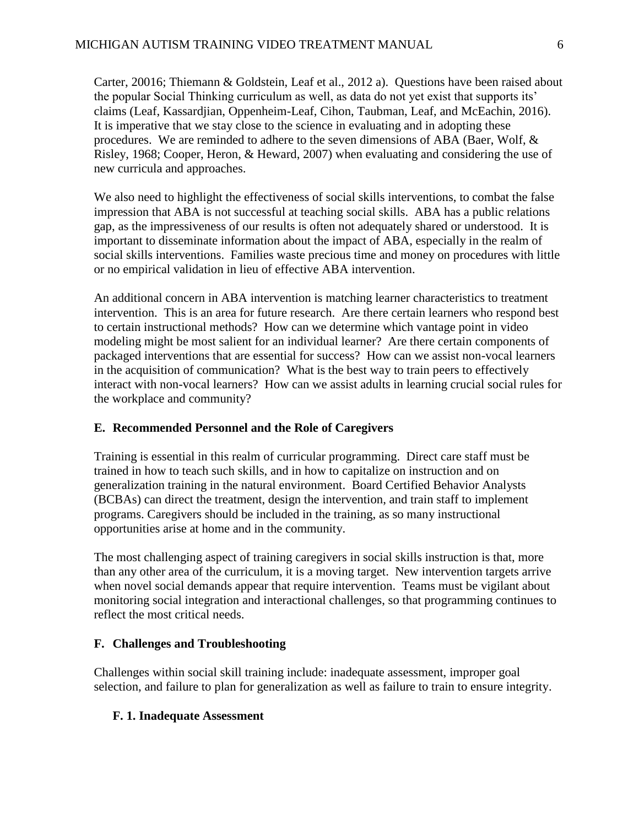Carter, 20016; Thiemann & Goldstein, Leaf et al., 2012 a). Questions have been raised about the popular Social Thinking curriculum as well, as data do not yet exist that supports its' claims (Leaf, Kassardjian, Oppenheim-Leaf, Cihon, Taubman, Leaf, and McEachin, 2016). It is imperative that we stay close to the science in evaluating and in adopting these procedures. We are reminded to adhere to the seven dimensions of ABA (Baer, Wolf, & Risley, 1968; Cooper, Heron, & Heward, 2007) when evaluating and considering the use of new curricula and approaches.

We also need to highlight the effectiveness of social skills interventions, to combat the false impression that ABA is not successful at teaching social skills. ABA has a public relations gap, as the impressiveness of our results is often not adequately shared or understood. It is important to disseminate information about the impact of ABA, especially in the realm of social skills interventions. Families waste precious time and money on procedures with little or no empirical validation in lieu of effective ABA intervention.

An additional concern in ABA intervention is matching learner characteristics to treatment intervention. This is an area for future research. Are there certain learners who respond best to certain instructional methods? How can we determine which vantage point in video modeling might be most salient for an individual learner? Are there certain components of packaged interventions that are essential for success? How can we assist non-vocal learners in the acquisition of communication? What is the best way to train peers to effectively interact with non-vocal learners? How can we assist adults in learning crucial social rules for the workplace and community?

#### **E. Recommended Personnel and the Role of Caregivers**

Training is essential in this realm of curricular programming. Direct care staff must be trained in how to teach such skills, and in how to capitalize on instruction and on generalization training in the natural environment. Board Certified Behavior Analysts (BCBAs) can direct the treatment, design the intervention, and train staff to implement programs. Caregivers should be included in the training, as so many instructional opportunities arise at home and in the community.

The most challenging aspect of training caregivers in social skills instruction is that, more than any other area of the curriculum, it is a moving target. New intervention targets arrive when novel social demands appear that require intervention. Teams must be vigilant about monitoring social integration and interactional challenges, so that programming continues to reflect the most critical needs.

#### **F. Challenges and Troubleshooting**

Challenges within social skill training include: inadequate assessment, improper goal selection, and failure to plan for generalization as well as failure to train to ensure integrity.

## **F. 1. Inadequate Assessment**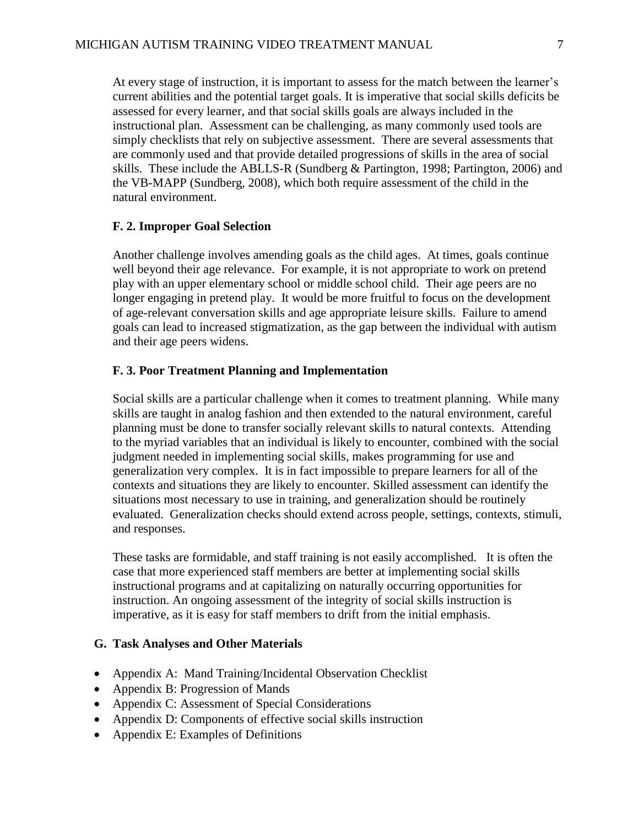At every stage of instruction, it is important to assess for the match between the learner's current abilities and the potential target goals. It is imperative that social skills deficits be assessed for every learner, and that social skills goals are always included in the instructional plan. Assessment can be challenging, as many commonly used tools are simply checklists that rely on subjective assessment. There are several assessments that are commonly used and that provide detailed progressions of skills in the area of social skills. These include the ABLLS-R (Sundberg & Partington, 1998; Partington, 2006) and the VB-MAPP (Sundberg, 2008), which both require assessment of the child in the natural environment.

### **F. 2. Improper Goal Selection**

Another challenge involves amending goals as the child ages. At times, goals continue well beyond their age relevance. For example, it is not appropriate to work on pretend play with an upper elementary school or middle school child. Their age peers are no longer engaging in pretend play. It would be more fruitful to focus on the development of age-relevant conversation skills and age appropriate leisure skills. Failure to amend goals can lead to increased stigmatization, as the gap between the individual with autism and their age peers widens.

### **F. 3. Poor Treatment Planning and Implementation**

Social skills are a particular challenge when it comes to treatment planning. While many skills are taught in analog fashion and then extended to the natural environment, careful planning must be done to transfer socially relevant skills to natural contexts. Attending to the myriad variables that an individual is likely to encounter, combined with the social judgment needed in implementing social skills, makes programming for use and generalization very complex. It is in fact impossible to prepare learners for all of the contexts and situations they are likely to encounter. Skilled assessment can identify the situations most necessary to use in training, and generalization should be routinely evaluated. Generalization checks should extend across people, settings, contexts, stimuli, and responses.

These tasks are formidable, and staff training is not easily accomplished. It is often the case that more experienced staff members are better at implementing social skills instructional programs and at capitalizing on naturally occurring opportunities for instruction. An ongoing assessment of the integrity of social skills instruction is imperative, as it is easy for staff members to drift from the initial emphasis.

#### **G. Task Analyses and Other Materials**

- Appendix A: Mand Training/Incidental Observation Checklist
- Appendix B: Progression of Mands
- Appendix C: Assessment of Special Considerations
- Appendix D: Components of effective social skills instruction
- Appendix E: Examples of Definitions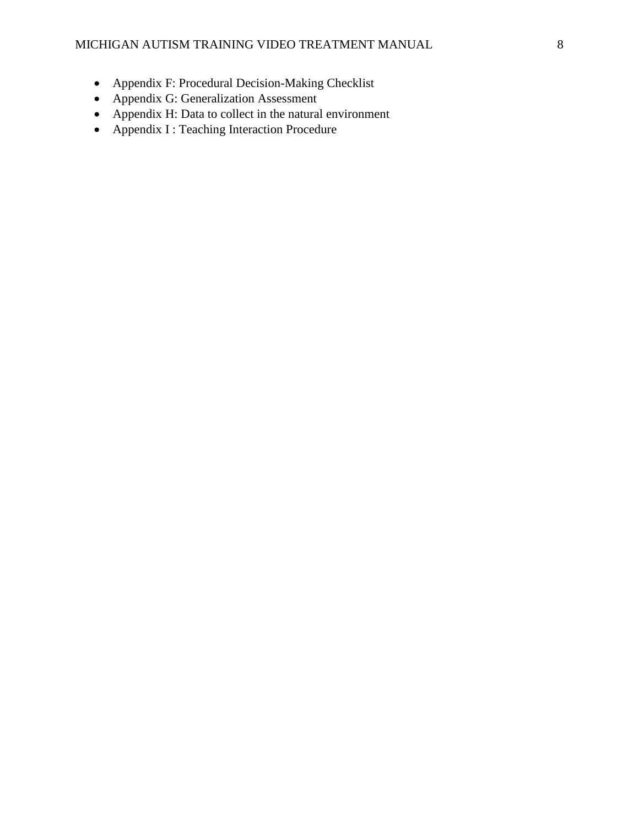- Appendix F: Procedural Decision-Making Checklist
- Appendix G: Generalization Assessment
- Appendix H: Data to collect in the natural environment
- Appendix I : Teaching Interaction Procedure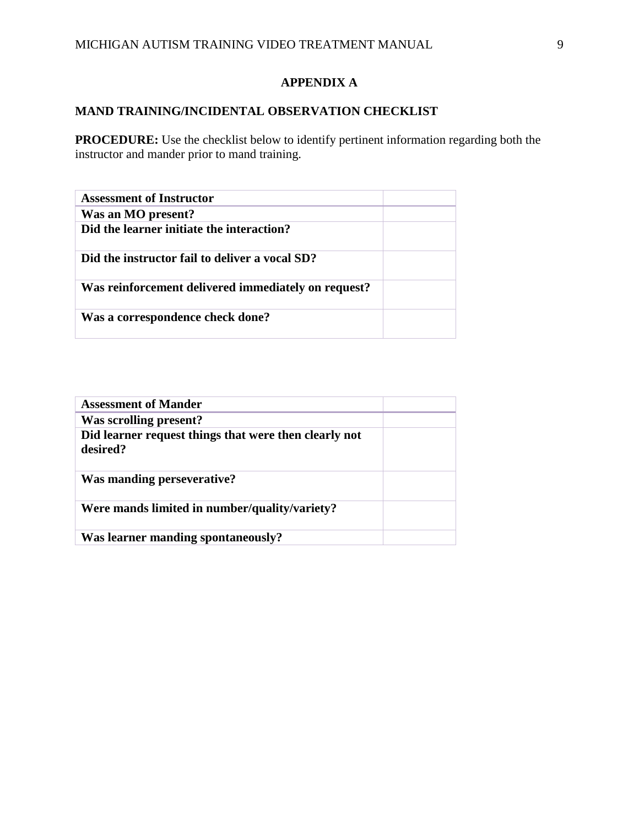## **APPENDIX A**

# **MAND TRAINING/INCIDENTAL OBSERVATION CHECKLIST**

**PROCEDURE:** Use the checklist below to identify pertinent information regarding both the instructor and mander prior to mand training.

| <b>Assessment of Instructor</b>                     |  |
|-----------------------------------------------------|--|
| Was an MO present?                                  |  |
| Did the learner initiate the interaction?           |  |
| Did the instructor fail to deliver a vocal SD?      |  |
| Was reinforcement delivered immediately on request? |  |
| Was a correspondence check done?                    |  |

| <b>Assessment of Mander</b>                           |  |
|-------------------------------------------------------|--|
| Was scrolling present?                                |  |
| Did learner request things that were then clearly not |  |
| desired?                                              |  |
| Was manding perseverative?                            |  |
| Were mands limited in number/quality/variety?         |  |
| Was learner manding spontaneously?                    |  |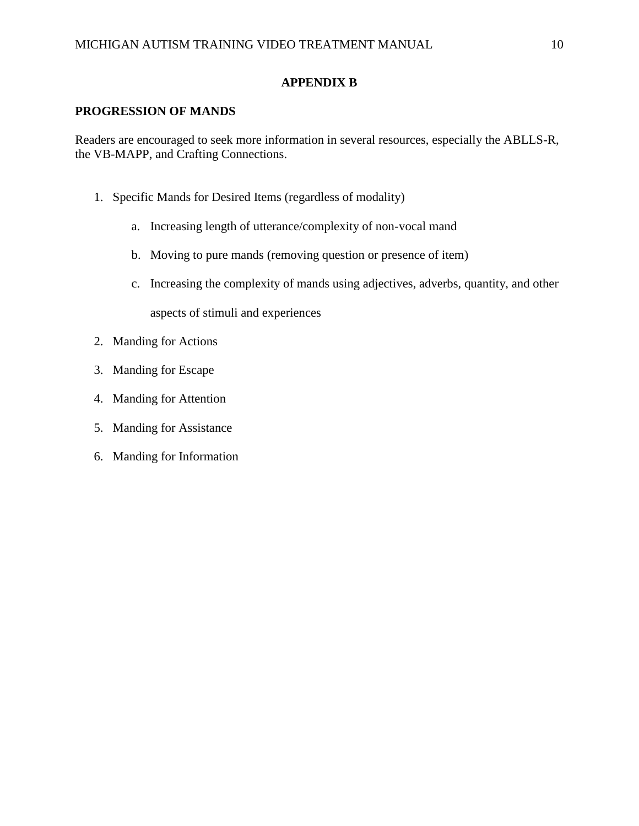## **APPENDIX B**

### **PROGRESSION OF MANDS**

Readers are encouraged to seek more information in several resources, especially the ABLLS-R, the VB-MAPP, and Crafting Connections.

- 1. Specific Mands for Desired Items (regardless of modality)
	- a. Increasing length of utterance/complexity of non-vocal mand
	- b. Moving to pure mands (removing question or presence of item)
	- c. Increasing the complexity of mands using adjectives, adverbs, quantity, and other aspects of stimuli and experiences
- 2. Manding for Actions
- 3. Manding for Escape
- 4. Manding for Attention
- 5. Manding for Assistance
- 6. Manding for Information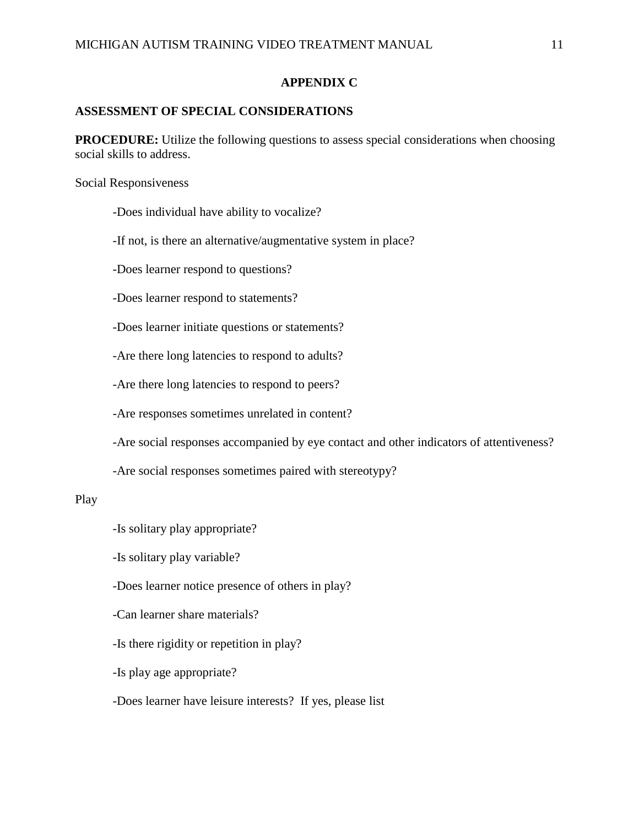## **APPENDIX C**

## **ASSESSMENT OF SPECIAL CONSIDERATIONS**

**PROCEDURE:** Utilize the following questions to assess special considerations when choosing social skills to address.

Social Responsiveness

-Does individual have ability to vocalize?

-If not, is there an alternative/augmentative system in place?

-Does learner respond to questions?

-Does learner respond to statements?

-Does learner initiate questions or statements?

-Are there long latencies to respond to adults?

-Are there long latencies to respond to peers?

-Are responses sometimes unrelated in content?

-Are social responses accompanied by eye contact and other indicators of attentiveness?

-Are social responses sometimes paired with stereotypy?

#### Play

-Is solitary play appropriate?

-Is solitary play variable?

-Does learner notice presence of others in play?

-Can learner share materials?

-Is there rigidity or repetition in play?

-Is play age appropriate?

-Does learner have leisure interests? If yes, please list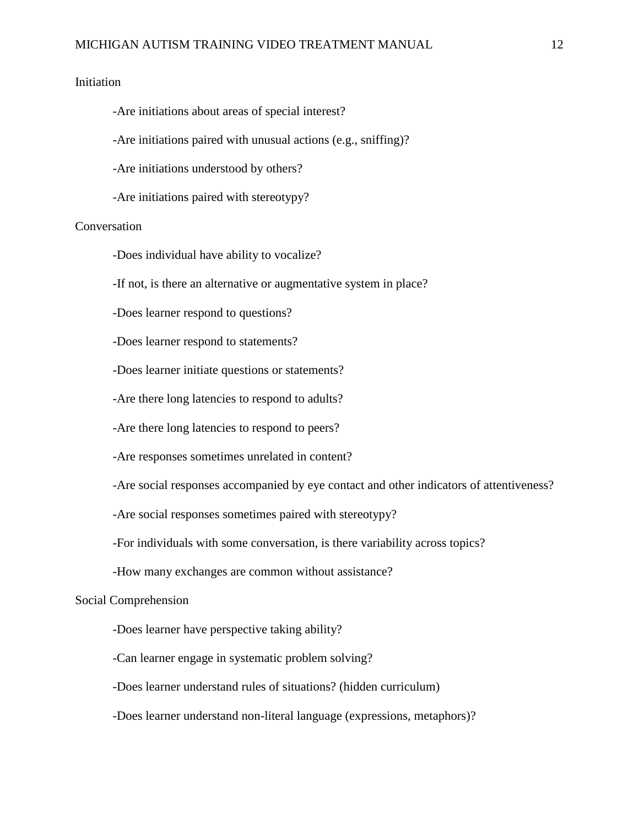### Initiation

-Are initiations about areas of special interest?

-Are initiations paired with unusual actions (e.g., sniffing)?

-Are initiations understood by others?

-Are initiations paired with stereotypy?

### Conversation

-Does individual have ability to vocalize?

-If not, is there an alternative or augmentative system in place?

-Does learner respond to questions?

-Does learner respond to statements?

-Does learner initiate questions or statements?

-Are there long latencies to respond to adults?

-Are there long latencies to respond to peers?

-Are responses sometimes unrelated in content?

-Are social responses accompanied by eye contact and other indicators of attentiveness?

-Are social responses sometimes paired with stereotypy?

-For individuals with some conversation, is there variability across topics?

-How many exchanges are common without assistance?

#### Social Comprehension

-Does learner have perspective taking ability?

-Can learner engage in systematic problem solving?

-Does learner understand rules of situations? (hidden curriculum)

-Does learner understand non-literal language (expressions, metaphors)?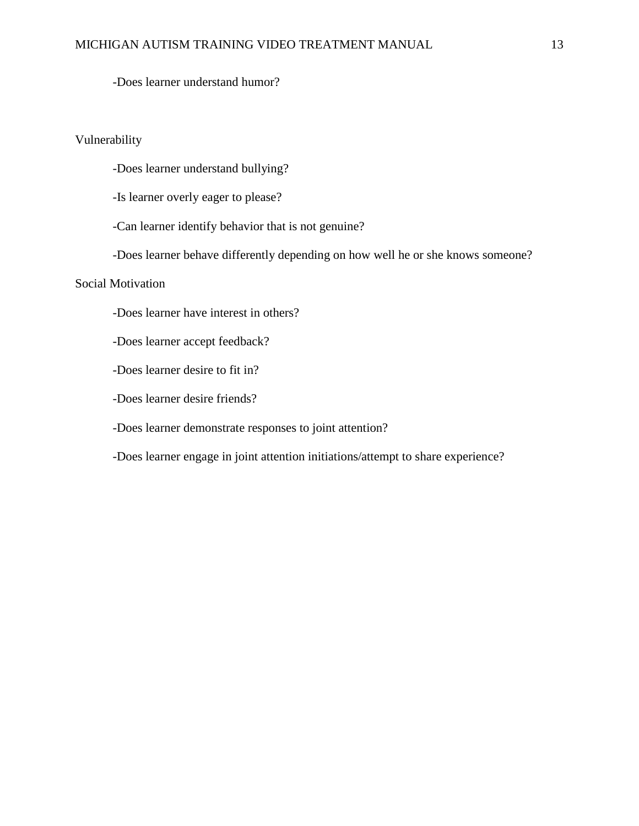-Does learner understand humor?

### Vulnerability

-Does learner understand bullying?

-Is learner overly eager to please?

-Can learner identify behavior that is not genuine?

-Does learner behave differently depending on how well he or she knows someone?

## Social Motivation

-Does learner have interest in others?

-Does learner accept feedback?

-Does learner desire to fit in?

-Does learner desire friends?

-Does learner demonstrate responses to joint attention?

-Does learner engage in joint attention initiations/attempt to share experience?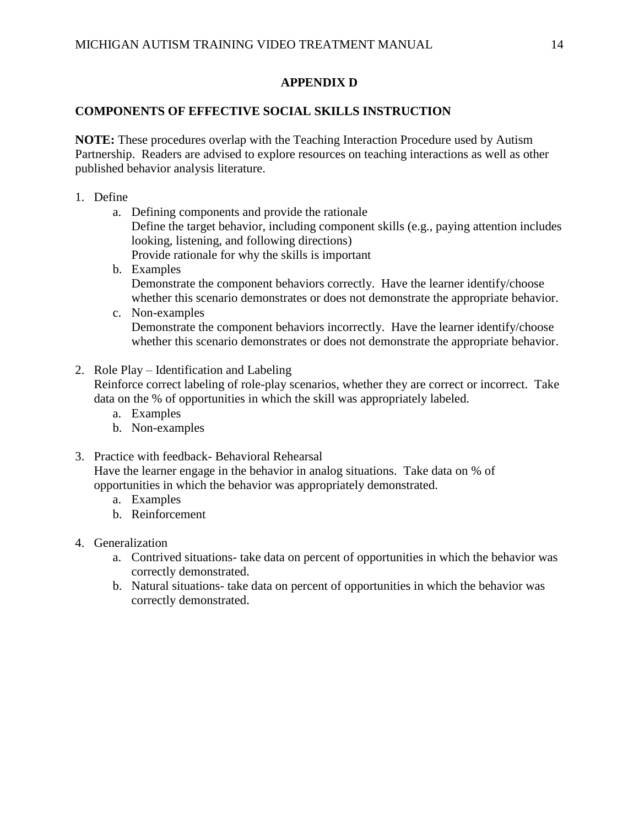## **APPENDIX D**

## **COMPONENTS OF EFFECTIVE SOCIAL SKILLS INSTRUCTION**

**NOTE:** These procedures overlap with the Teaching Interaction Procedure used by Autism Partnership. Readers are advised to explore resources on teaching interactions as well as other published behavior analysis literature.

- 1. Define
	- a. Defining components and provide the rationale Define the target behavior, including component skills (e.g., paying attention includes looking, listening, and following directions) Provide rationale for why the skills is important
	- b. Examples Demonstrate the component behaviors correctly. Have the learner identify/choose whether this scenario demonstrates or does not demonstrate the appropriate behavior.
	- c. Non-examples Demonstrate the component behaviors incorrectly. Have the learner identify/choose whether this scenario demonstrates or does not demonstrate the appropriate behavior.
- 2. Role Play Identification and Labeling Reinforce correct labeling of role-play scenarios, whether they are correct or incorrect. Take data on the % of opportunities in which the skill was appropriately labeled.
	- a. Examples
	- b. Non-examples
- 3. Practice with feedback- Behavioral Rehearsal Have the learner engage in the behavior in analog situations. Take data on % of opportunities in which the behavior was appropriately demonstrated.
	- a. Examples
	- b. Reinforcement
- 4. Generalization
	- a. Contrived situations- take data on percent of opportunities in which the behavior was correctly demonstrated.
	- b. Natural situations- take data on percent of opportunities in which the behavior was correctly demonstrated.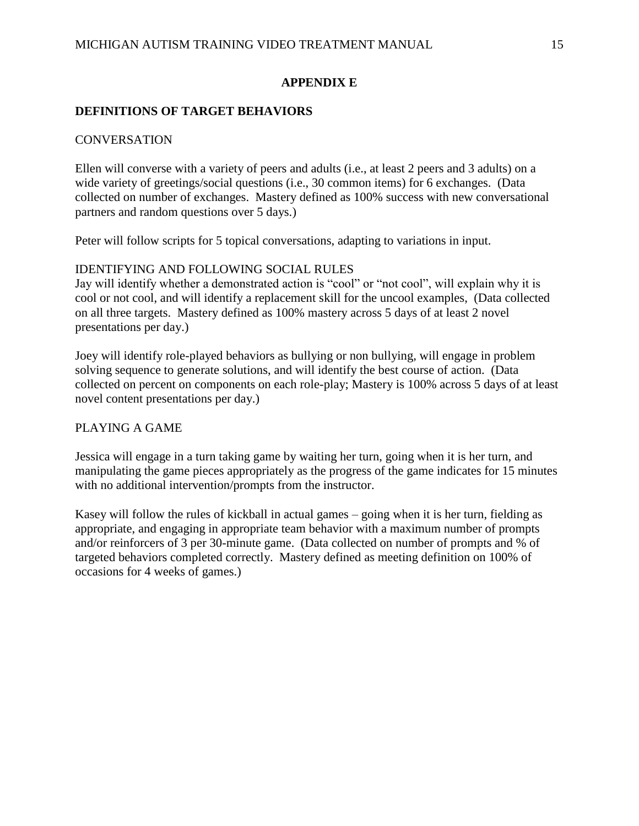## **APPENDIX E**

## **DEFINITIONS OF TARGET BEHAVIORS**

## **CONVERSATION**

Ellen will converse with a variety of peers and adults (i.e., at least 2 peers and 3 adults) on a wide variety of greetings/social questions (i.e., 30 common items) for 6 exchanges. (Data collected on number of exchanges. Mastery defined as 100% success with new conversational partners and random questions over 5 days.)

Peter will follow scripts for 5 topical conversations, adapting to variations in input.

## IDENTIFYING AND FOLLOWING SOCIAL RULES

Jay will identify whether a demonstrated action is "cool" or "not cool", will explain why it is cool or not cool, and will identify a replacement skill for the uncool examples, (Data collected on all three targets. Mastery defined as 100% mastery across 5 days of at least 2 novel presentations per day.)

Joey will identify role-played behaviors as bullying or non bullying, will engage in problem solving sequence to generate solutions, and will identify the best course of action. (Data collected on percent on components on each role-play; Mastery is 100% across 5 days of at least novel content presentations per day.)

## PLAYING A GAME

Jessica will engage in a turn taking game by waiting her turn, going when it is her turn, and manipulating the game pieces appropriately as the progress of the game indicates for 15 minutes with no additional intervention/prompts from the instructor.

Kasey will follow the rules of kickball in actual games – going when it is her turn, fielding as appropriate, and engaging in appropriate team behavior with a maximum number of prompts and/or reinforcers of 3 per 30-minute game. (Data collected on number of prompts and % of targeted behaviors completed correctly. Mastery defined as meeting definition on 100% of occasions for 4 weeks of games.)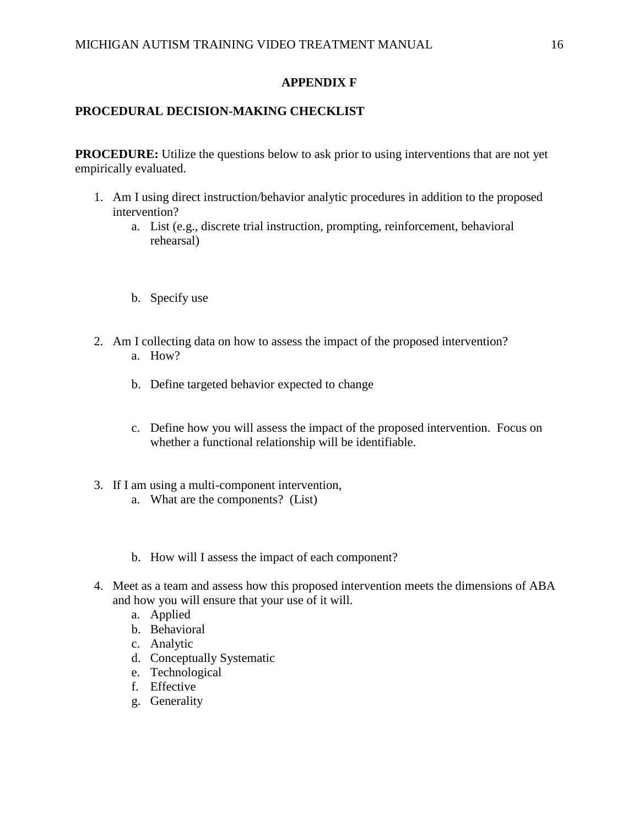## **APPENDIX F**

## **PROCEDURAL DECISION-MAKING CHECKLIST**

**PROCEDURE:** Utilize the questions below to ask prior to using interventions that are not yet empirically evaluated.

- 1. Am I using direct instruction/behavior analytic procedures in addition to the proposed intervention?
	- a. List (e.g., discrete trial instruction, prompting, reinforcement, behavioral rehearsal)
	- b. Specify use
- 2. Am I collecting data on how to assess the impact of the proposed intervention? a. How?
	- b. Define targeted behavior expected to change
	- c. Define how you will assess the impact of the proposed intervention. Focus on whether a functional relationship will be identifiable.
- 3. If I am using a multi-component intervention,
	- a. What are the components? (List)
	- b. How will I assess the impact of each component?
- 4. Meet as a team and assess how this proposed intervention meets the dimensions of ABA and how you will ensure that your use of it will.
	- a. Applied
	- b. Behavioral
	- c. Analytic
	- d. Conceptually Systematic
	- e. Technological
	- f. Effective
	- g. Generality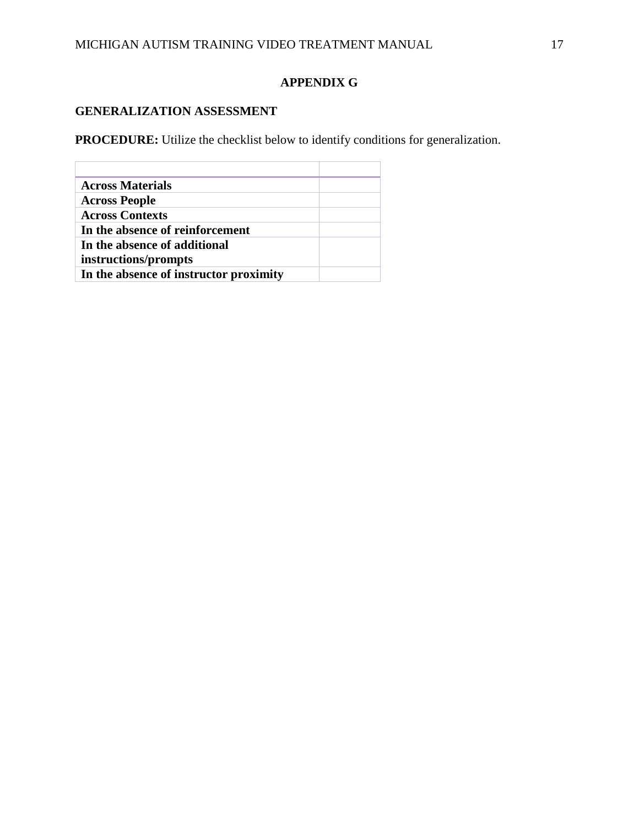# **APPENDIX G**

# **GENERALIZATION ASSESSMENT**

**PROCEDURE:** Utilize the checklist below to identify conditions for generalization.

| <b>Across Materials</b>                |  |
|----------------------------------------|--|
| <b>Across People</b>                   |  |
| <b>Across Contexts</b>                 |  |
| In the absence of reinforcement        |  |
| In the absence of additional           |  |
| instructions/prompts                   |  |
| In the absence of instructor proximity |  |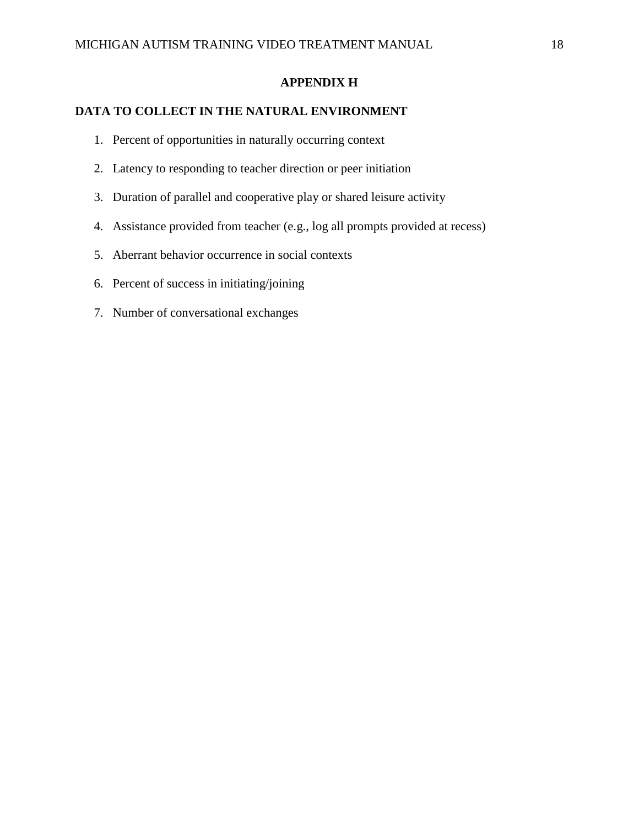## **APPENDIX H**

## **DATA TO COLLECT IN THE NATURAL ENVIRONMENT**

- 1. Percent of opportunities in naturally occurring context
- 2. Latency to responding to teacher direction or peer initiation
- 3. Duration of parallel and cooperative play or shared leisure activity
- 4. Assistance provided from teacher (e.g., log all prompts provided at recess)
- 5. Aberrant behavior occurrence in social contexts
- 6. Percent of success in initiating/joining
- 7. Number of conversational exchanges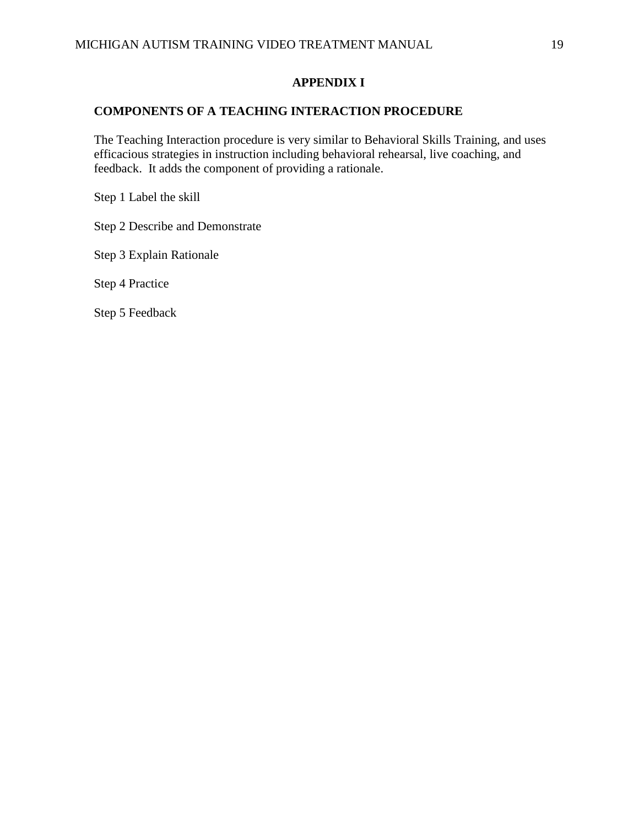## **APPENDIX I**

## **COMPONENTS OF A TEACHING INTERACTION PROCEDURE**

The Teaching Interaction procedure is very similar to Behavioral Skills Training, and uses efficacious strategies in instruction including behavioral rehearsal, live coaching, and feedback. It adds the component of providing a rationale.

Step 1 Label the skill

Step 2 Describe and Demonstrate

Step 3 Explain Rationale

Step 4 Practice

Step 5 Feedback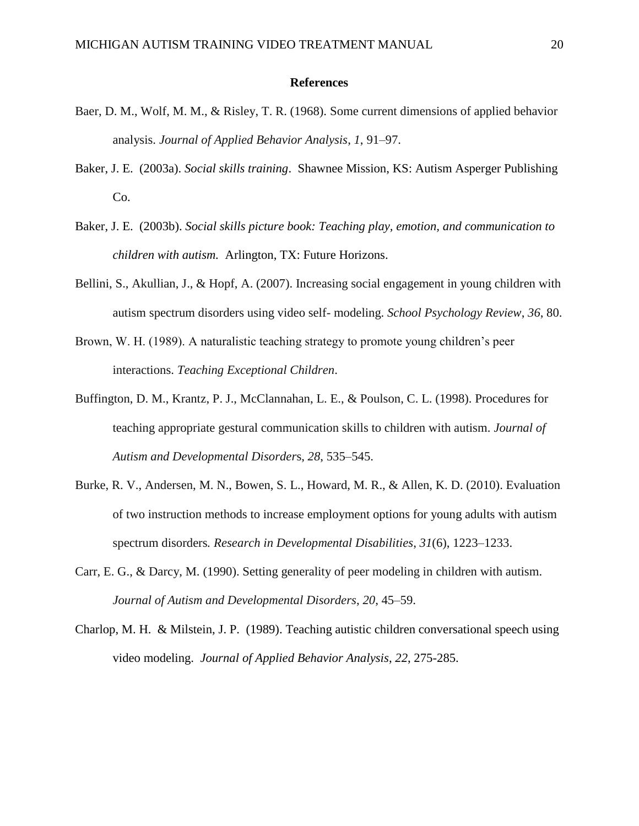#### **References**

- Baer, D. M., Wolf, M. M., & Risley, T. R. (1968). Some current dimensions of applied behavior analysis. *Journal of Applied Behavior Analysis*, *1*, 91–97.
- Baker, J. E. (2003a). *Social skills training*. Shawnee Mission, KS: Autism Asperger Publishing Co.
- Baker, J. E. (2003b). *Social skills picture book: Teaching play, emotion, and communication to children with autism.* Arlington, TX: Future Horizons.
- Bellini, S., Akullian, J., & Hopf, A. (2007). Increasing social engagement in young children with autism spectrum disorders using video self- modeling. *School Psychology Review*, *36*, 80.
- Brown, W. H. (1989). A naturalistic teaching strategy to promote young children's peer interactions. *Teaching Exceptional Children*.
- Buffington, D. M., Krantz, P. J., McClannahan, L. E., & Poulson, C. L. (1998). Procedures for teaching appropriate gestural communication skills to children with autism. *Journal of Autism and Developmental Disorder*s, *28*, 535–545.
- Burke, R. V., Andersen, M. N., Bowen, S. L., Howard, M. R., & Allen, K. D. (2010). Evaluation of two instruction methods to increase employment options for young adults with autism spectrum disorders*. Research in Developmental Disabilities*, *31*(6), 1223–1233.
- Carr, E. G., & Darcy, M. (1990). Setting generality of peer modeling in children with autism. *Journal of Autism and Developmental Disorders*, *20*, 45–59.
- Charlop, M. H. & Milstein, J. P. (1989). Teaching autistic children conversational speech using video modeling. *Journal of Applied Behavior Analysis*, *22*, 275-285.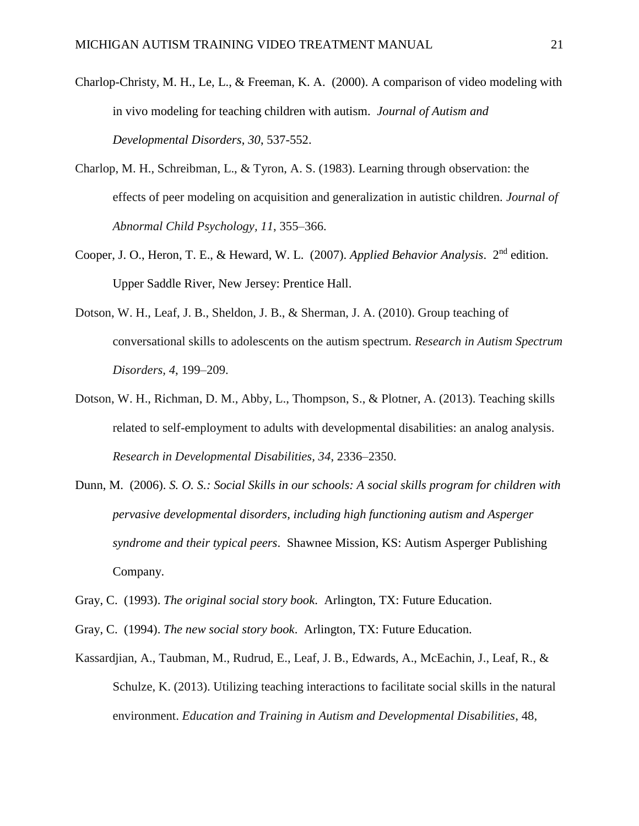- Charlop-Christy, M. H., Le, L., & Freeman, K. A. (2000). A comparison of video modeling with in vivo modeling for teaching children with autism. *Journal of Autism and Developmental Disorders*, *30*, 537-552.
- Charlop, M. H., Schreibman, L., & Tyron, A. S. (1983). Learning through observation: the effects of peer modeling on acquisition and generalization in autistic children. *Journal of Abnormal Child Psychology, 11*, 355–366.
- Cooper, J. O., Heron, T. E., & Heward, W. L. (2007). *Applied Behavior Analysis*. 2nd edition. Upper Saddle River, New Jersey: Prentice Hall.
- Dotson, W. H., Leaf, J. B., Sheldon, J. B., & Sherman, J. A. (2010). Group teaching of conversational skills to adolescents on the autism spectrum. *Research in Autism Spectrum Disorders, 4*, 199–209.
- Dotson, W. H., Richman, D. M., Abby, L., Thompson, S., & Plotner, A. (2013). Teaching skills related to self-employment to adults with developmental disabilities: an analog analysis. *Research in Developmental Disabilities, 34*, 2336–2350.
- Dunn, M. (2006). *S. O. S.: Social Skills in our schools: A social skills program for children with pervasive developmental disorders, including high functioning autism and Asperger syndrome and their typical peers*. Shawnee Mission, KS: Autism Asperger Publishing Company.
- Gray, C. (1993). *The original social story book*. Arlington, TX: Future Education.
- Gray, C. (1994). *The new social story book*. Arlington, TX: Future Education.
- Kassardjian, A., Taubman, M., Rudrud, E., Leaf, J. B., Edwards, A., McEachin, J., Leaf, R., & Schulze, K. (2013). Utilizing teaching interactions to facilitate social skills in the natural environment. *Education and Training in Autism and Developmental Disabilities*, 48,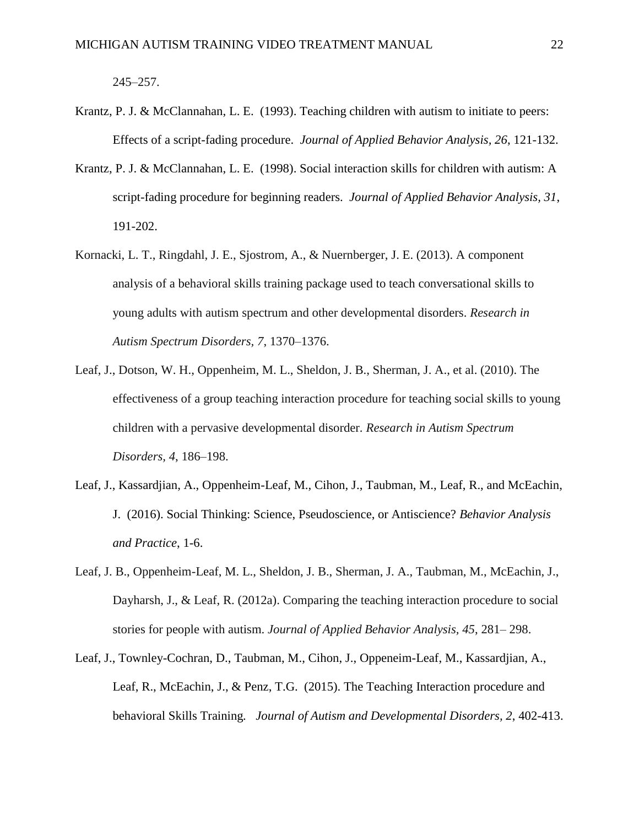$245 - 257$ .

- Krantz, P. J. & McClannahan, L. E. (1993). Teaching children with autism to initiate to peers: Effects of a script-fading procedure. *Journal of Applied Behavior Analysis, 26*, 121-132.
- Krantz, P. J. & McClannahan, L. E. (1998). Social interaction skills for children with autism: A script-fading procedure for beginning readers. *Journal of Applied Behavior Analysis, 31*, 191-202.
- Kornacki, L. T., Ringdahl, J. E., Sjostrom, A., & Nuernberger, J. E. (2013). A component analysis of a behavioral skills training package used to teach conversational skills to young adults with autism spectrum and other developmental disorders. *Research in Autism Spectrum Disorders, 7*, 1370–1376.
- Leaf, J., Dotson, W. H., Oppenheim, M. L., Sheldon, J. B., Sherman, J. A., et al. (2010). The effectiveness of a group teaching interaction procedure for teaching social skills to young children with a pervasive developmental disorder. *Research in Autism Spectrum Disorders, 4*, 186–198.
- Leaf, J., Kassardjian, A., Oppenheim-Leaf, M., Cihon, J., Taubman, M., Leaf, R., and McEachin, J. (2016). Social Thinking: Science, Pseudoscience, or Antiscience? *Behavior Analysis and Practice*, 1-6.
- Leaf, J. B., Oppenheim-Leaf, M. L., Sheldon, J. B., Sherman, J. A., Taubman, M., McEachin, J., Dayharsh, J., & Leaf, R. (2012a). Comparing the teaching interaction procedure to social stories for people with autism. *Journal of Applied Behavior Analysis, 45*, 281– 298.
- Leaf, J., Townley-Cochran, D., Taubman, M., Cihon, J., Oppeneim-Leaf, M., Kassardjian, A., Leaf, R., McEachin, J., & Penz, T.G. (2015). The Teaching Interaction procedure and behavioral Skills Training*. Journal of Autism and Developmental Disorders, 2*, 402-413.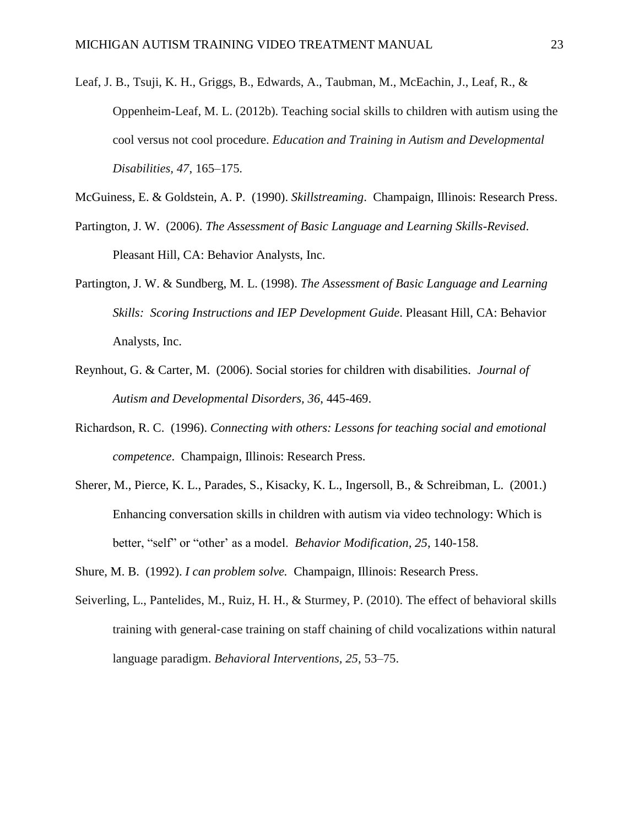- Leaf, J. B., Tsuji, K. H., Griggs, B., Edwards, A., Taubman, M., McEachin, J., Leaf, R., & Oppenheim-Leaf, M. L. (2012b). Teaching social skills to children with autism using the cool versus not cool procedure. *Education and Training in Autism and Developmental Disabilities, 47*, 165–175.
- McGuiness, E. & Goldstein, A. P. (1990). *Skillstreaming*. Champaign, Illinois: Research Press.
- Partington, J. W. (2006). *The Assessment of Basic Language and Learning Skills-Revised*. Pleasant Hill, CA: Behavior Analysts, Inc.
- Partington, J. W. & Sundberg, M. L. (1998). *The Assessment of Basic Language and Learning Skills: Scoring Instructions and IEP Development Guide*. Pleasant Hill, CA: Behavior Analysts, Inc.
- Reynhout, G. & Carter, M. (2006). Social stories for children with disabilities. *Journal of Autism and Developmental Disorders, 36*, 445-469.
- Richardson, R. C. (1996). *Connecting with others: Lessons for teaching social and emotional competence*. Champaign, Illinois: Research Press.
- Sherer, M., Pierce, K. L., Parades, S., Kisacky, K. L., Ingersoll, B., & Schreibman, L. (2001.) Enhancing conversation skills in children with autism via video technology: Which is better, "self" or "other' as a model. *Behavior Modification, 25*, 140-158.
- Shure, M. B. (1992). *I can problem solve.* Champaign, Illinois: Research Press.
- Seiverling, L., Pantelides, M., Ruiz, H. H., & Sturmey, P. (2010). The effect of behavioral skills training with general‐case training on staff chaining of child vocalizations within natural language paradigm. *Behavioral Interventions, 25*, 53–75.